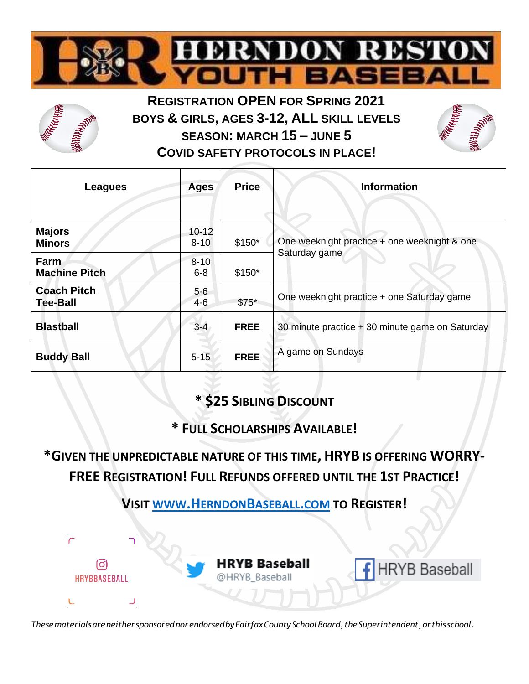



### **REGISTRATION OPEN FOR SPRING 2021 BOYS & GIRLS, AGES 3-12, ALL SKILL LEVELS SEASON: MARCH 15 – JUNE 5 COVID SAFETY PROTOCOLS IN PLACE!**



| Leagues                               | <b>Ages</b>           | <b>Price</b> | <b>Information</b>                              |
|---------------------------------------|-----------------------|--------------|-------------------------------------------------|
| <b>Majors</b><br><b>Minors</b>        | $10 - 12$<br>$8 - 10$ | $$150*$      | One weeknight practice + one weeknight & one    |
| <b>Farm</b><br><b>Machine Pitch</b>   | $8 - 10$<br>$6 - 8$   | $$150*$      | Saturday game                                   |
| <b>Coach Pitch</b><br><b>Tee-Ball</b> | $5-6$<br>$4-6$        | $$75*$       | One weeknight practice + one Saturday game      |
| <b>Blastball</b>                      | $3-4$                 | <b>FREE</b>  | 30 minute practice + 30 minute game on Saturday |
| <b>Buddy Ball</b>                     | $5 - 15$              | <b>FREE</b>  | A game on Sundays                               |

## **\* \$25 SIBLING DISCOUNT**

**\* FULL SCHOLARSHIPS AVAILABLE!**

**\*GIVEN THE UNPREDICTABLE NATURE OF THIS TIME, HRYB IS OFFERING WORRY-FREE REGISTRATION! FULL REFUNDS OFFERED UNTIL THE 1ST PRACTICE!**

**VISIT WWW.H[ERNDON](http://www.herndonbaseball.com/)BASEBALL.COM TO REGISTER!**



*ThesematerialsareneithersponsorednorendorsedbyFairfaxCountySchoolBoard,theSuperintendent,orthisschool.*